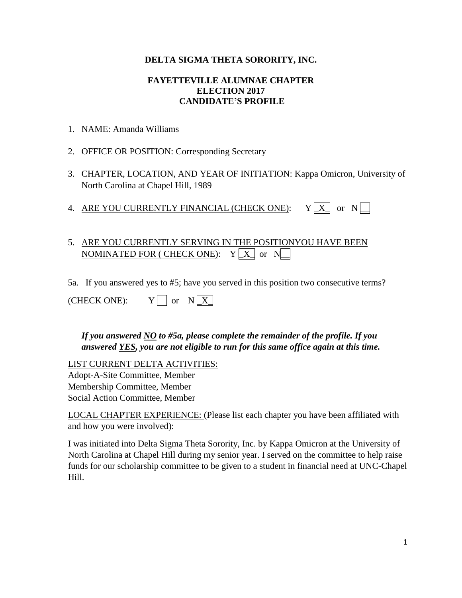#### **DELTA SIGMA THETA SORORITY, INC.**

#### **FAYETTEVILLE ALUMNAE CHAPTER ELECTION 2017 CANDIDATE'S PROFILE**

- 1. NAME: Amanda Williams
- 2. OFFICE OR POSITION: Corresponding Secretary
- 3. CHAPTER, LOCATION, AND YEAR OF INITIATION: Kappa Omicron, University of North Carolina at Chapel Hill, 1989
- 4. ARE YOU CURRENTLY FINANCIAL (CHECK ONE):  $Y[X]$  or  $N \Box$

# 5. ARE YOU CURRENTLY SERVING IN THE POSITIONYOU HAVE BEEN NOMINATED FOR ( CHECK ONE):  $Y[X]$  or  $N$

5a. If you answered yes to #5; have you served in this position two consecutive terms?

*If you answered NO to #5a, please complete the remainder of the profile. If you answered YES, you are not eligible to run for this same office again at this time.* 

LIST CURRENT DELTA ACTIVITIES: Adopt-A-Site Committee, Member Membership Committee, Member Social Action Committee, Member

LOCAL CHAPTER EXPERIENCE: (Please list each chapter you have been affiliated with and how you were involved):

I was initiated into Delta Sigma Theta Sorority, Inc. by Kappa Omicron at the University of North Carolina at Chapel Hill during my senior year. I served on the committee to help raise funds for our scholarship committee to be given to a student in financial need at UNC-Chapel Hill.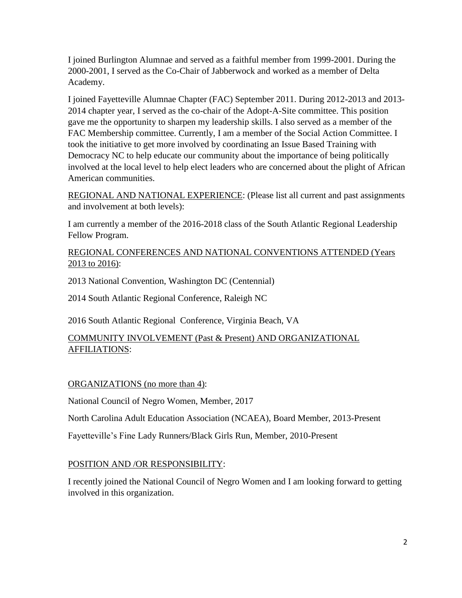I joined Burlington Alumnae and served as a faithful member from 1999-2001. During the 2000-2001, I served as the Co-Chair of Jabberwock and worked as a member of Delta Academy.

I joined Fayetteville Alumnae Chapter (FAC) September 2011. During 2012-2013 and 2013- 2014 chapter year, I served as the co-chair of the Adopt-A-Site committee. This position gave me the opportunity to sharpen my leadership skills. I also served as a member of the FAC Membership committee. Currently, I am a member of the Social Action Committee. I took the initiative to get more involved by coordinating an Issue Based Training with Democracy NC to help educate our community about the importance of being politically involved at the local level to help elect leaders who are concerned about the plight of African American communities.

REGIONAL AND NATIONAL EXPERIENCE: (Please list all current and past assignments and involvement at both levels):

I am currently a member of the 2016-2018 class of the South Atlantic Regional Leadership Fellow Program.

### REGIONAL CONFERENCES AND NATIONAL CONVENTIONS ATTENDED (Years 2013 to 2016):

2013 National Convention, Washington DC (Centennial)

2014 South Atlantic Regional Conference, Raleigh NC

2016 South Atlantic Regional Conference, Virginia Beach, VA

## COMMUNITY INVOLVEMENT (Past & Present) AND ORGANIZATIONAL AFFILIATIONS:

ORGANIZATIONS (no more than 4):

National Council of Negro Women, Member, 2017

North Carolina Adult Education Association (NCAEA), Board Member, 2013-Present

Fayetteville's Fine Lady Runners/Black Girls Run, Member, 2010-Present

## POSITION AND /OR RESPONSIBILITY:

I recently joined the National Council of Negro Women and I am looking forward to getting involved in this organization.